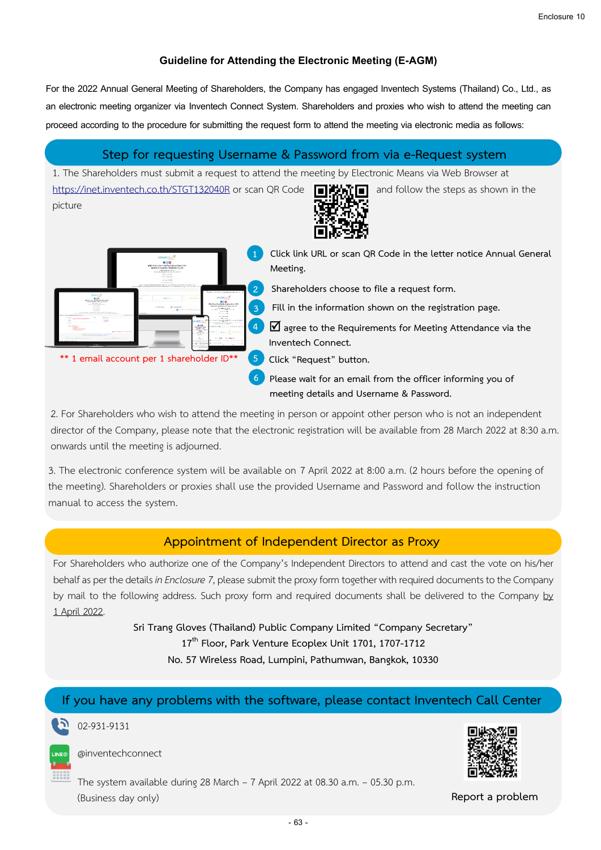#### **Guideline for Attending the Electronic Meeting (E-AGM)**

For the 2022 Annual General Meeting of Shareholders, the Company has engaged Inventech Systems (Thailand) Co., Ltd., as an electronic meeting organizer via Inventech Connect System. Shareholders and proxies who wish to attend the meeting can proceed according to the procedure for submitting the request form to attend the meeting via electronic media as follows:

## **Step for requesting Username & Password from via e-Request system**

1. The Shareholders must submit a request to attend the meeting by Electronic Means via Web Browser at <https://inet.inventech.co.th/STGT132040R> or scan QR Code **and follow** the steps as shown in the picture



**1 Click link URL or scan QR Code in the letter notice Annual General Meeting.**

**2 Shareholders choose to file a request form.**

**3 Fill in the information shown on the registration page.**

**4 agree to the Requirements for Meeting Attendance via the Inventech Connect.**

**\*\* 1 email account per 1 shareholder ID\*\* 5 Click "Request" button.**

.

.

**6 Please wait for an email from the officer informing you of meeting details and Username & Password.**

2. For Shareholders who wish to attend the meeting in person or appoint other person who is not an independent director of the Company, please note that the electronic registration will be available from 28 March 2022 at 8:30 a.m. onwards until the meeting is adjourned.

3. The electronic conference system will be available on 7 April 2022 at 8:00 a.m. (2 hours before the opening of the meeting). Shareholders or proxies shall use the provided Username and Password and follow the instruction manual to access the system.

# **Appointment of Independent Director as Proxy**

For Shareholders who authorize one of the Company's Independent Directors to attend and cast the vote on his/her behalf as per the details *in Enclosure 7*, please submit the proxy form together with required documents to the Company by mail to the following address. Such proxy form and required documents shall be delivered to the Company by 1 April 2022.

> **Sri Trang Gloves (Thailand) Public Company Limited "Company Secretary" 17th Floor, Park Venture Ecoplex Unit 1701, 1707-1712 No. 57 Wireless Road, Lumpini, Pathumwan, Bangkok, 10330**

# **If you have any problems with the software, please contact Inventech Call Center**

02-931-9131



@inventechconnect

The system available during 28 March – 7 April 2022 at 08.30 a.m. – 05.30 p.m. (Business day only) **Report a problem**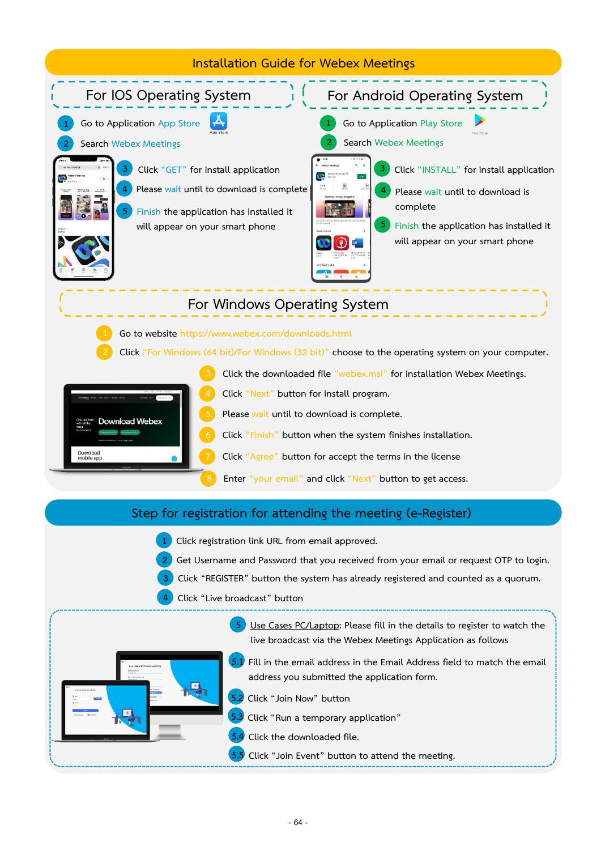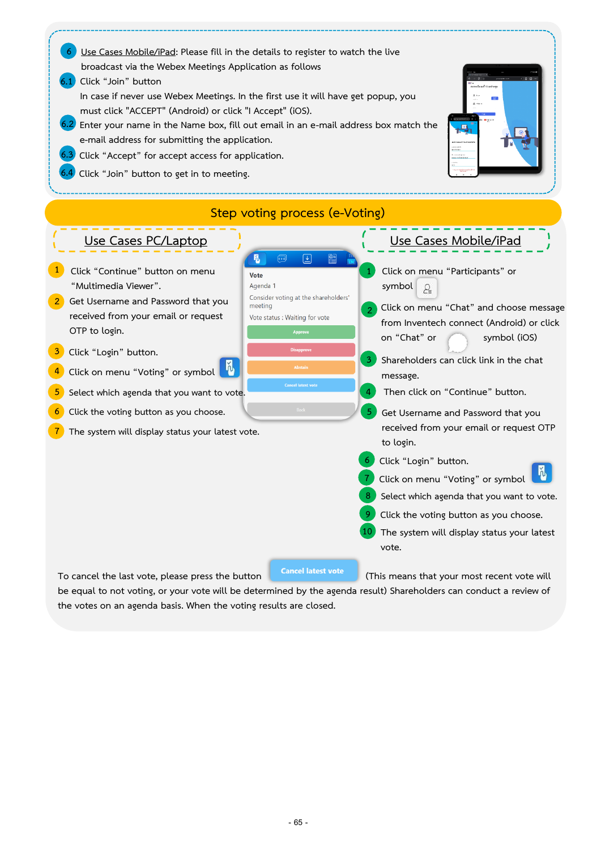

**be equal to not voting, or your vote will be determined by the agenda result) Shareholders can conduct a review of the votes on an agenda basis. When the voting results are closed.**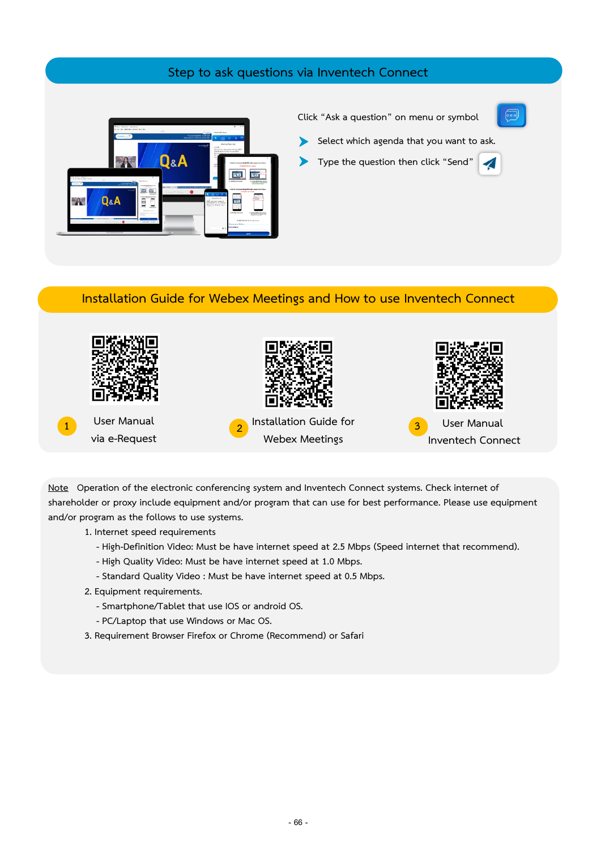## **Step to ask questions via Inventech Connect**



#### **Click "Ask a question" on menu or symbol**



- **Click when agence that you want to Select which agenda that you want to ask.**
	- **Type the question then click "Send"**

#### **Installation Guide for Webex Meetings and How to use Inventech Connect**



**Note Operation of the electronic conferencing system and Inventech Connect systems. Check internet of shareholder or proxy include equipment and/or program that can use for best performance. Please use equipment and/or program as the follows to use systems.**

**1. Internet speed requirements**

- **- High-Definition Video: Must be have internet speed at 2.5 Mbps (Speed internet that recommend).**
- **- High Quality Video: Must be have internet speed at 1.0 Mbps.**
- **- Standard Quality Video : Must be have internet speed at 0.5 Mbps.**
- **2. Equipment requirements.**
	- **- Smartphone/Tablet that use IOS or android OS.**
	- **- PC/Laptop that use Windows or Mac OS.**
- **3. Requirement Browser Firefox or Chrome (Recommend) or Safari**